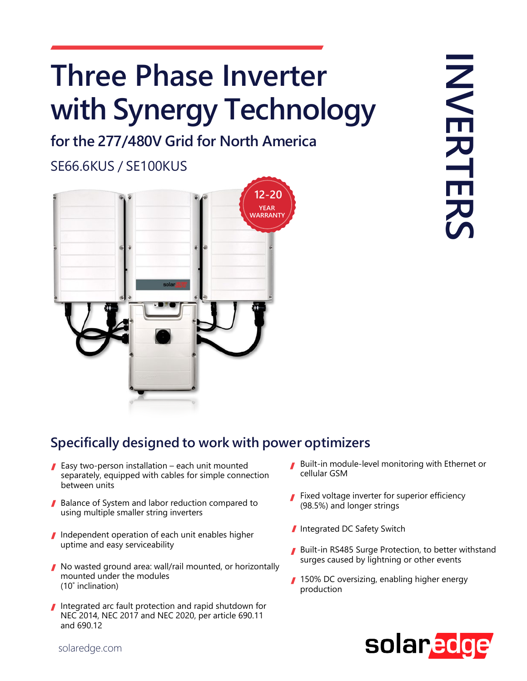## **Three Phase Inverter with Synergy Technology**

**for the 277/480V Grid for North America**

SE66.6KUS / SE100KUS



## **Specifically designed to work with power optimizers**

- Easy two-person installation each unit mounted separately, equipped with cables for simple connection between units
- Balance of System and labor reduction compared to using multiple smaller string inverters
- I Independent operation of each unit enables higher uptime and easy serviceability
- No wasted ground area: wall/rail mounted, or horizontally mounted under the modules (10̊ inclination)
- Integrated arc fault protection and rapid shutdown for NEC 2014, NEC 2017 and NEC 2020, per article 690.11 and 690.12
- Built-in module-level monitoring with Ethernet or cellular GSM
- **Fixed voltage inverter for superior efficiency** (98.5%) and longer strings
- Integrated DC Safety Switch
- Built-in RS485 Surge Protection, to better withstand surges caused by lightning or other events
- 150% DC oversizing, enabling higher energy production



solaredge.com